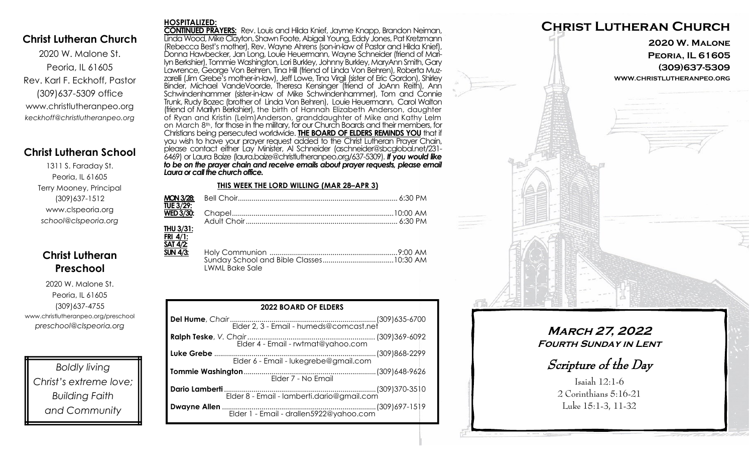### **Christ Lutheran Church**

2020 W. Malone St. Peoria, IL 61605 Rev. Karl F. Eckhoff, Pastor (309)637-5309 office www.christlutheranpeo.org *keckhoff@christlutheranpeo.org*

## **Christ Lutheran School**

1311 S. Faraday St. Peoria, IL 61605 Terry Mooney, Principal (309)637-1512 www.clspeoria.org *school@clspeoria.org*

# **Christ Lutheran Preschool**

2020 W. Malone St. Peoria, IL 61605 (309)637-4755 www.christlutheranpeo.org/preschool *preschool@clspeoria.org*

*Boldly living Christ's extreme love; Building Faith and Community*

**HOSPITALIZED: CONTINUED PRAYERS:** Rev. Louis and Hilda Knief, Jayme Knapp, Brandon Neiman, Linda Wood, Mike Clayton, Shawn Foote, Abigail Young, Eddy Jones, Pat Kretzmann

(Rebecca Best's mother), Rev. Wayne Ahrens (son-in-law of Pastor and Hilda Knief), Donna Hawbecker, Jan Long, Louie Heuermann, Wayne Schneider (friend of Marilyn Berkshier), Tommie Washington, Lori Burkley, Johnny Burkley, MaryAnn Smith, Gary Lawrence, George Von Behren, Tina Hill (friend of Linda Von Behren), Roberta Muzzarelli (Jim Grebe's mother-in-law), Jeff Lowe, Tina Virgil (sister of Eric Gordon), Shirley Binder, Michael VandeVoorde, Theresa Kensinger (friend of JoAnn Reith), Ann Schwindenhammer (sister-in-law of Mike Schwindenhammer), Tom and Connie Trunk, Rudy Bozec (brother of Linda Von Behren), Louie Heuermann, Carol Walton (friend of Marilyn Berkshier), the birth of Hannah Elizabeth Anderson, daughter of Ryan and Kristin (Lelm)Anderson, granddaughter of Mike and Kathy Lelm on March 8th, for those in the military, for our Church Boards and their members, for Christians being persecuted worldwide. **THE BOARD OF ELDERS REMINDS YOU** that if you wish to have your prayer request added to the Christ Lutheran Prayer Chain, please contact either Lay Minister, Al Schneider (aschneider@sbcglobal.net/231- 6469) or Laura Baize (laura.baize@christlutheranpeo.org/637-5309). *If you would like*  to be on the prayer chain and receive emails about prayer requests, please email *Laura or call the church office.*

#### **THIS WEEK THE LORD WILLING (MAR 28–APR 3)**

| <b>TUE 3/29:</b>                                                         |                       |  |
|--------------------------------------------------------------------------|-----------------------|--|
| $\overline{\text{WED 3}/30}$ :                                           |                       |  |
|                                                                          |                       |  |
| <b>THU 3/31:</b><br>$\frac{\overline{\text{FRI 4/1:}}}{\text{SAT 4/2:}}$ |                       |  |
| $SUN$ 4/3:                                                               | <b>LWML Bake Sale</b> |  |

| <b>2022 BOARD OF ELDERS</b>             |  |  |  |
|-----------------------------------------|--|--|--|
|                                         |  |  |  |
|                                         |  |  |  |
| Elder 6 - Email - lukegrebe@gmail.com   |  |  |  |
| Elder 7 - No Email                      |  |  |  |
|                                         |  |  |  |
| Elder 1 - Email - drallen5922@yahoo.com |  |  |  |



**March 27, 2022 Fourth Sunday in Lent**

Scripture of the Day

Isaiah 12:1-6 2 Corinthians 5:16-21 Luke 15:1-3, 11-32